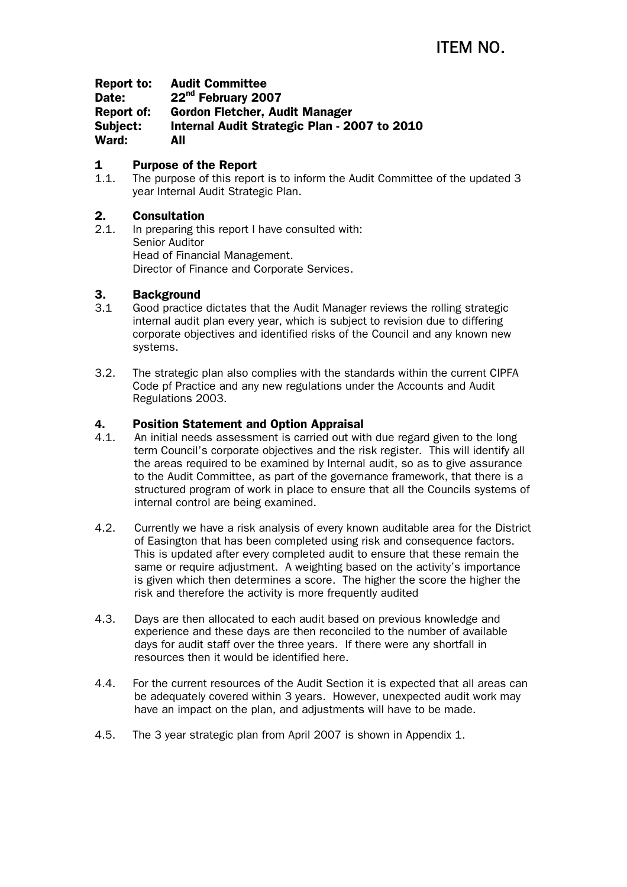Report to: Audit Committee Date: 22<sup>nd</sup> February 2007 Report of: Gordon Fletcher, Audit Manager Subject: Internal Audit Strategic Plan - 2007 to 2010 Ward: All

## 1 Purpose of the Report

1.1. The purpose of this report is to inform the Audit Committee of the updated 3 year Internal Audit Strategic Plan.

## 2. Consultation

2.1. In preparing this report I have consulted with: Senior Auditor Head of Financial Management. Director of Finance and Corporate Services.

### 3. Background

- 3.1 Good practice dictates that the Audit Manager reviews the rolling strategic internal audit plan every year, which is subject to revision due to differing corporate objectives and identified risks of the Council and any known new systems.
- 3.2. The strategic plan also complies with the standards within the current CIPFA Code pf Practice and any new regulations under the Accounts and Audit Regulations 2003.

### 4. Position Statement and Option Appraisal

- 4.1. An initial needs assessment is carried out with due regard given to the long term Council's corporate objectives and the risk register. This will identify all the areas required to be examined by Internal audit, so as to give assurance to the Audit Committee, as part of the governance framework, that there is a structured program of work in place to ensure that all the Councils systems of internal control are being examined.
- 4.2. Currently we have a risk analysis of every known auditable area for the District of Easington that has been completed using risk and consequence factors. This is updated after every completed audit to ensure that these remain the same or require adjustment. A weighting based on the activity's importance is given which then determines a score. The higher the score the higher the risk and therefore the activity is more frequently audited
- 4.3. Days are then allocated to each audit based on previous knowledge and experience and these days are then reconciled to the number of available days for audit staff over the three years. If there were any shortfall in resources then it would be identified here.
- 4.4. For the current resources of the Audit Section it is expected that all areas can be adequately covered within 3 years. However, unexpected audit work may have an impact on the plan, and adjustments will have to be made.
- 4.5. The 3 year strategic plan from April 2007 is shown in Appendix 1.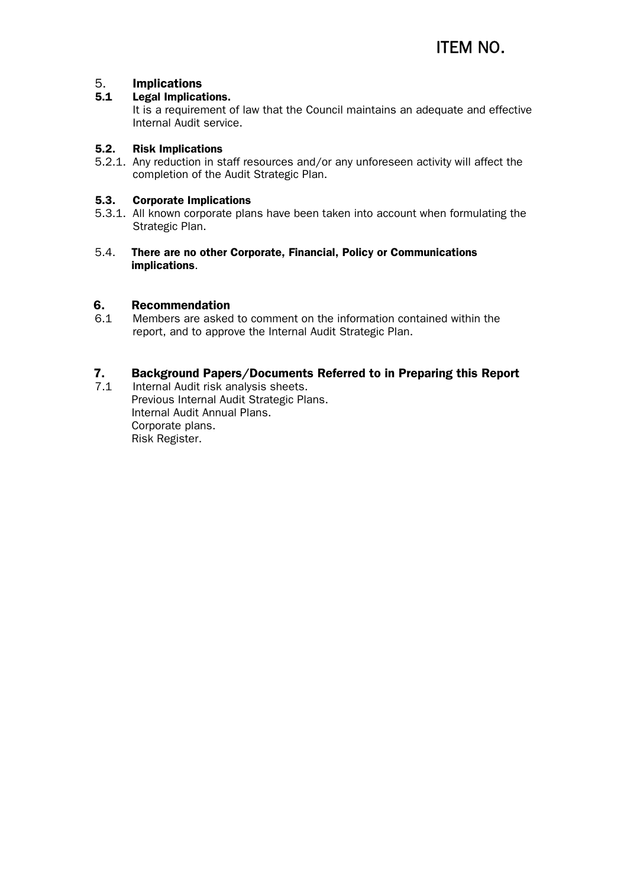# 5. Implications

#### 5.1 Legal Implications.

It is a requirement of law that the Council maintains an adequate and effective Internal Audit service.

#### 5.2. Risk Implications

5.2.1. Any reduction in staff resources and/or any unforeseen activity will affect the completion of the Audit Strategic Plan.

#### 5.3. Corporate Implications

- 5.3.1. All known corporate plans have been taken into account when formulating the Strategic Plan.
- 5.4. There are no other Corporate, Financial, Policy or Communications implications.

# **6. Recommendation**<br>6.1 Members are asked

6.1 Members are asked to comment on the information contained within the report, and to approve the Internal Audit Strategic Plan.

# 7. Background Papers/Documents Referred to in Preparing this Report

7.1 Internal Audit risk analysis sheets. Previous Internal Audit Strategic Plans. Internal Audit Annual Plans. Corporate plans. Risk Register.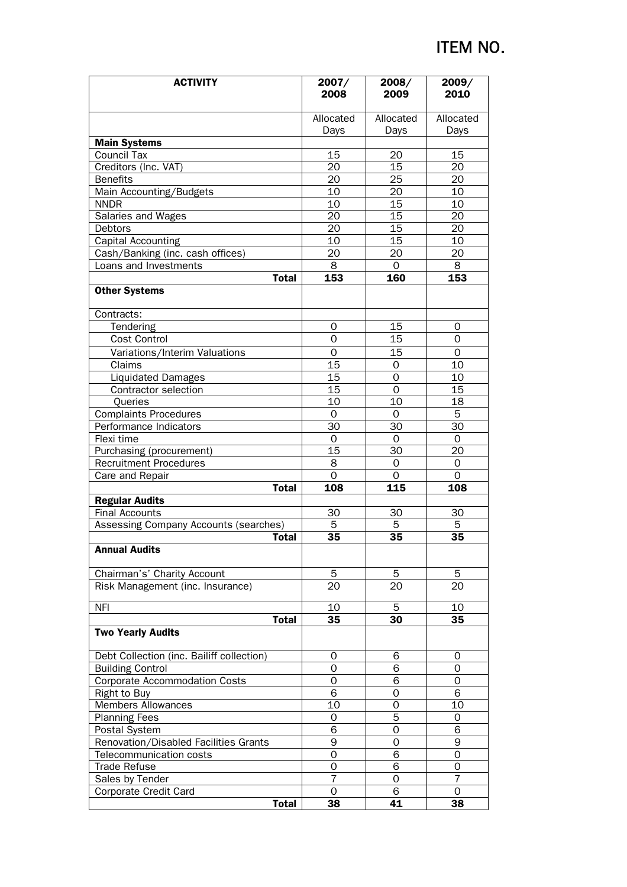# ITEM NO.

| <b>ACTIVITY</b>                           | 2007/           | 2008/           | 2009/          |
|-------------------------------------------|-----------------|-----------------|----------------|
|                                           | 2008            | 2009            | 2010           |
|                                           | Allocated       | Allocated       | Allocated      |
|                                           | Days            | Days            | Days           |
| <b>Main Systems</b>                       |                 |                 |                |
| <b>Council Tax</b>                        | 15              | 20              | 15             |
| Creditors (Inc. VAT)                      | 20              | 15              | 20             |
| <b>Benefits</b>                           | 20              | 25              | 20             |
| Main Accounting/Budgets                   | 10              | 20              | 10             |
| <b>NNDR</b>                               | 10              | 15              | 10             |
| Salaries and Wages                        | 20              | 15              | 20             |
| <b>Debtors</b>                            | 20              | 15              | 20             |
| Capital Accounting                        | 10              | $\overline{15}$ | 10             |
| Cash/Banking (inc. cash offices)          | 20              | 20              | 20             |
| Loans and Investments                     | 8               | 0               | 8              |
| <b>Total</b>                              | 153             | 160             | 153            |
| <b>Other Systems</b>                      |                 |                 |                |
| Contracts:                                |                 |                 |                |
| Tendering                                 | 0               | 15              | 0              |
| Cost Control                              | $\overline{O}$  | $\overline{15}$ | $\mathbf 0$    |
| Variations/Interim Valuations             | 0               | 15              | 0              |
| Claims                                    | 15              | 0               | 10             |
| <b>Liquidated Damages</b>                 | 15              | $\overline{0}$  | 10             |
| <b>Contractor selection</b>               | $\overline{15}$ | 0               | 15             |
| Queries                                   | 10              | 10              | 18             |
| <b>Complaints Procedures</b>              | $\Omega$        | $\Omega$        | 5              |
| Performance Indicators                    | 30              | 30              | 30             |
| Flexi time                                | $\Omega$        | $\Omega$        | 0              |
| Purchasing (procurement)                  | 15              | 30              | 20             |
| <b>Recruitment Procedures</b>             | 8               | $\Omega$        | $\Omega$       |
| Care and Repair                           | $\Omega$        | $\Omega$        | $\Omega$       |
| <b>Total</b>                              | 108             | 115             | 108            |
| <b>Regular Audits</b>                     |                 |                 |                |
| <b>Final Accounts</b>                     | 30              | 30              | 30             |
| Assessing Company Accounts (searches)     | 5               | 5               | 5              |
| <b>Total</b>                              | 35              | 35              | 35             |
| <b>Annual Audits</b>                      |                 |                 |                |
| Chairman's' Charity Account               | 5               | 5               | 5              |
| Risk Management (inc. Insurance)          | 20              | 20              | 20             |
| <b>NFI</b>                                | 10              | 5               | 10             |
| <b>Total</b>                              | 35              | 30              | 35             |
| <b>Two Yearly Audits</b>                  |                 |                 |                |
| Debt Collection (inc. Bailiff collection) | 0               | 6               | 0              |
| <b>Building Control</b>                   | 0               | 6               | 0              |
| <b>Corporate Accommodation Costs</b>      | 0               | $\overline{6}$  | $\Omega$       |
| Right to Buy                              | 6               | $\Omega$        | 6              |
| <b>Members Allowances</b>                 | 10              | 0               | 10             |
| <b>Planning Fees</b>                      | 0               | 5               | 0              |
| Postal System                             | 6               | 0               | 6              |
| Renovation/Disabled Facilities Grants     | 9               | 0               | 9              |
| Telecommunication costs                   | 0               | 6               | 0              |
| Trade Refuse                              | 0               | 6               | $\Omega$       |
| Sales by Tender                           | $\overline{7}$  | 0               | $\overline{7}$ |
| Corporate Credit Card                     | 0               | 6               | 0              |
| <b>Total</b>                              | 38              | 41              | 38             |